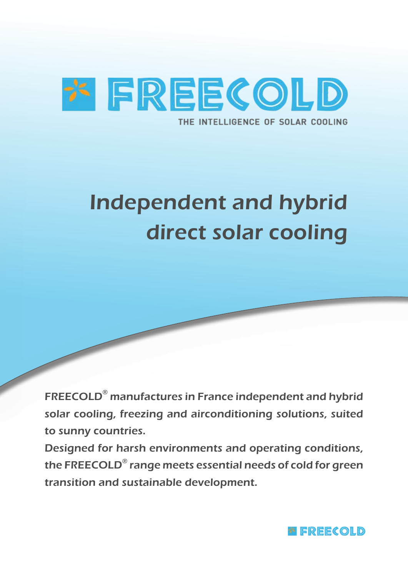

# Independent and hybrid direct solar cooling

FREECOLD® manufactures in France independent and hybrid solar cooling, freezing and airconditioning solutions, suited to sunny countries.

Designed for harsh environments and operating conditions, the FREECOLD® range meets essential needs of cold for green transition and sustainable development.

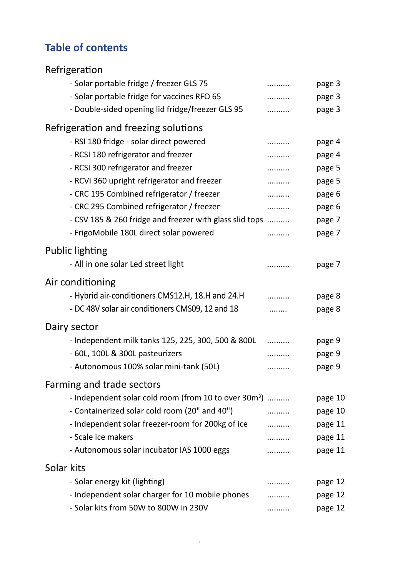### **Table of contents**

| Refrigeration                                                     |   |         |
|-------------------------------------------------------------------|---|---------|
| - Solar portable fridge / freezer GLS 75                          | . | page 3  |
| - Solar portable fridge for vaccines RFO 65                       | . | page 3  |
| - Double-sided opening lid fridge/freezer GLS 95                  |   | page 3  |
| Refrigeration and freezing solutions                              |   |         |
| - RSI 180 fridge - solar direct powered                           |   | page 4  |
| - RCSI 180 refrigerator and freezer                               |   | page 4  |
| - RCSI 300 refrigerator and freezer                               | . | page 5  |
| - RCVI 360 upright refrigerator and freezer                       | . | page 5  |
| - CRC 195 Combined refrigerator / freezer                         | . | page 6  |
| - CRC 295 Combined refrigerator / freezer                         | . | page 6  |
| - CSV 185 & 260 fridge and freezer with glass slid tops           |   | page 7  |
| - FrigoMobile 180L direct solar powered                           |   | page 7  |
| <b>Public lighting</b>                                            |   |         |
| - All in one solar Led street light                               |   | page 7  |
|                                                                   |   |         |
| Air conditioning                                                  |   |         |
| - Hybrid air-conditioners CMS12.H, 18.H and 24.H                  |   | page 8  |
| - DC 48V solar air conditioners CMS09, 12 and 18                  |   | page 8  |
| Dairy sector                                                      |   |         |
| - Independent milk tanks 125, 225, 300, 500 & 800L                |   | page 9  |
| - 60L, 100L & 300L pasteurizers                                   |   | page 9  |
| - Autonomous 100% solar mini-tank (50L)                           |   | page 9  |
| Farming and trade sectors                                         |   |         |
| - Independent solar cold room (from 10 to over 30m <sup>3</sup> ) |   | page 10 |
| - Containerized solar cold room (20" and 40")                     |   | page 10 |
| - Independent solar freezer-room for 200kg of ice                 | . | page 11 |
| - Scale ice makers                                                |   | page 11 |
| - Autonomous solar incubator IAS 1000 eggs                        | . | page 11 |
| Solar kits                                                        |   |         |
| - Solar energy kit (lighting)                                     |   | page 12 |
| - Independent solar charger for 10 mobile phones                  |   | page 12 |
| - Solar kits from 50W to 800W in 230V                             |   | page 12 |

.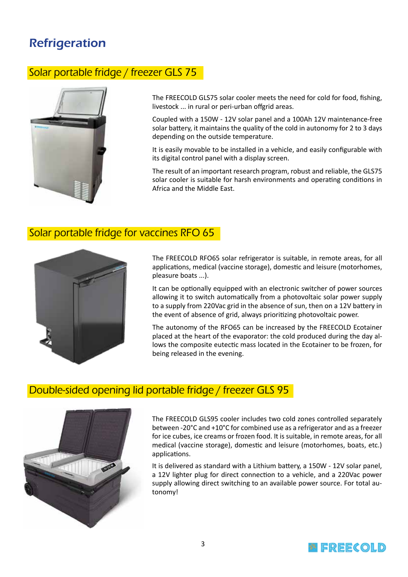### **Refrigeration**

#### Solar portable fridge / freezer GLS 75



The FREECOLD GLS75 solar cooler meets the need for cold for food, fishing, livestock ... in rural or peri-urban offgrid areas.

Coupled with a 150W - 12V solar panel and a 100Ah 12V maintenance-free solar battery, it maintains the quality of the cold in autonomy for 2 to 3 days depending on the outside temperature.

It is easily movable to be installed in a vehicle, and easily configurable with its digital control panel with a display screen.

The result of an important research program, robust and reliable, the GLS75 solar cooler is suitable for harsh environments and operating conditions in Africa and the Middle East.

#### Solar portable fridge for vaccines RFO 65



The FREECOLD RFO65 solar refrigerator is suitable, in remote areas, for all applications, medical (vaccine storage), domestic and leisure (motorhomes, pleasure boats ...).

It can be optionally equipped with an electronic switcher of power sources allowing it to switch automatically from a photovoltaic solar power supply to a supply from 220Vac grid in the absence of sun, then on a 12V battery in the event of absence of grid, always prioritizing photovoltaic power.

The autonomy of the RFO65 can be increased by the FREECOLD Ecotainer placed at the heart of the evaporator: the cold produced during the day allows the composite eutectic mass located in the Ecotainer to be frozen, for being released in the evening.

#### Double-sided opening lid portable fridge / freezer GLS 95



The FREECOLD GLS95 cooler includes two cold zones controlled separately between -20°C and +10°C for combined use as a refrigerator and as a freezer for ice cubes, ice creams or frozen food. It is suitable, in remote areas, for all medical (vaccine storage), domestic and leisure (motorhomes, boats, etc.) applications.

It is delivered as standard with a Lithium battery, a 150W - 12V solar panel, a 12V lighter plug for direct connection to a vehicle, and a 220Vac power supply allowing direct switching to an available power source. For total autonomy!

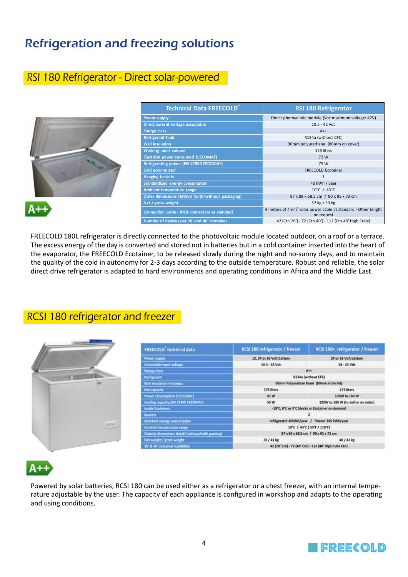### Refrigeration and freezing solutions

#### RSI 180 Refrigerator - Direct solar-powered

|  | <b>Technical Data FREECOLD</b>                  | <b>RSI 180 Refrigerator</b>                                                             |
|--|-------------------------------------------------|-----------------------------------------------------------------------------------------|
|  | <b>Power supply</b>                             | Direct photovoltaic module (Voc maximum voltage: 42V)                                   |
|  | Direct current voltage acceptable               | 10.5 - 42 Vdc                                                                           |
|  | <b>Energy class</b>                             | $A++$                                                                                   |
|  | <b>Refrigerant fluid</b>                        | R134a (without CFC)                                                                     |
|  | <b>Wall insulation</b>                          | 90mm polyurethane (80mm on cover)                                                       |
|  | <b>Working inner volume</b>                     | 155 liters                                                                              |
|  | <b>Electrical power consumed (CECOMAF)</b>      | 72W                                                                                     |
|  | Refrigerating power (EN 12900 CECOMAF)          | 75 W                                                                                    |
|  | <b>Cold accumulator</b>                         | FREECOLD Ecotainer                                                                      |
|  | <b>Hanging baskets</b>                          |                                                                                         |
|  | <b>Standardized energy consumption</b>          | 40 kWh / year                                                                           |
|  | Ambient temperature range                       | 10°C / 43°C                                                                             |
|  | Outer dimensions HxWxD (with/without packaging) | 87 x 89 x 68.5 cm / 90 x 95 x 73 cm                                                     |
|  | Net / gross weight                              | 57 kg / 59 kg                                                                           |
|  | Connection cable - MC4 connectors as standard   | 4 meters of 4mm <sup>2</sup> solar power cable as standard - Other length<br>on request |
|  | Number of devices per 20' and 40' container     | 42 (Ctn 20') - 72 (Ctn 40') - 112 (Ctn 40' High Cube)                                   |

FREECOLD 180L refrigerator is directly connected to the photovoltaic module located outdoor, on a roof or a terrace. The excess energy of the day is converted and stored not in batteries but in a cold container inserted into the heart of the evaporator, the FREECOLD Ecotainer, to be released slowly during the night and no-sunny days, and to maintain the quality of the cold in autonomy for 2-3 days according to the outside temperature. Robust and reliable, the solar direct drive refrigerator is adapted to hard environments and operating conditions in Africa and the Middle East.

#### RCSI 180 refrigerator and freezer



| <b>FREECOLD</b> technical data                  | RCSI 180 refrigerator / freezer                       | RCSI 180+ refrigerator / freezer                |  |
|-------------------------------------------------|-------------------------------------------------------|-------------------------------------------------|--|
| Power supply                                    | 12, 24 or 36 Volt battery                             | 24 or 36 Volt battery                           |  |
| Acceptable input voltage                        | 10.5 - 42 Vdc                                         | 24 - 42 Vdc                                     |  |
| <b>Energy class</b>                             | $A++$                                                 |                                                 |  |
| Refrigerant                                     | R134a (without CFC)                                   |                                                 |  |
| Wall insulation thickness                       | 90mm Polyurethan foam (80mm in the lid)               |                                                 |  |
| Net capacity                                    | 175 liters                                            | 175 liters                                      |  |
| Power consumption (CECOMAF)                     | 61W                                                   | 130W to 180 W                                   |  |
| Cooling capacity (EN 12900 CECOMAF)             | <b>55 W</b>                                           | 125W to 185 W (to define on order)              |  |
| <b>Inside Ecotainers</b>                        |                                                       | -18°C, 0°C or 5°C blocks or Ecotainer on demand |  |
| <b>Baskets</b>                                  |                                                       |                                                 |  |
| Standard energy consumption                     | refrigerator 40kWh/year / freezer 145 kWh/year        |                                                 |  |
| Ambiant temperature range                       | 10°C / 43°C (50°F / 110°F)                            |                                                 |  |
| Outside dimensions HxLxD (without/with packing) | 87 x 89 x 68.5 cm / 90 x 95 x 73 cm                   |                                                 |  |
| Net weight / gross weight                       | 39 / 41 kg                                            | 40 / 42 kg                                      |  |
| 20' & 40' container loadbility.                 | 42 (20' Ctn) - 72 (40' Ctn) - 112 (40' High Cube Ctn) |                                                 |  |

Powered by solar batteries, RCSI 180 can be used either as a refrigerator or a chest freezer, with an internal temperature adjustable by the user. The capacity of each appliance is configured in workshop and adapts to the operating and using conditions.

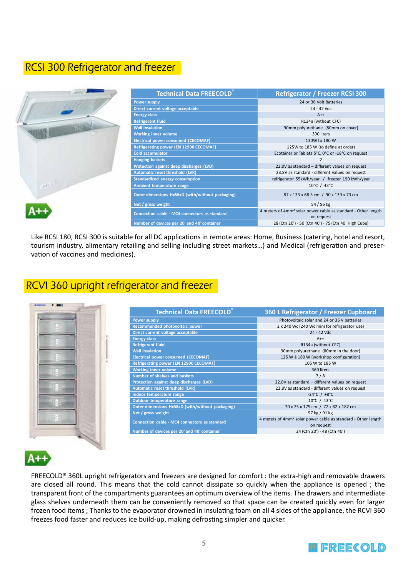### RCSI 300 Refrigerator and freezer

|                               | <b>Technical Data FREECOLD®</b>                 | Refrigerator / Freezer RCSI 300                                                         |
|-------------------------------|-------------------------------------------------|-----------------------------------------------------------------------------------------|
|                               | <b>Power supply</b>                             | 24 or 36 Volt Batteries                                                                 |
|                               | Direct current voltage acceptable               | 24 - 42 Vdc                                                                             |
|                               | <b>Energy class</b>                             | $A++$                                                                                   |
|                               | <b>Refrigerant fluid</b>                        | R134a (without CFC)                                                                     |
|                               | <b>Wall insulation</b>                          | 90mm polyurethane (80mm on cover)                                                       |
|                               | <b>Working inner volume</b>                     | 300 liters                                                                              |
|                               | <b>Electrical power consumed (CECOMAF)</b>      | 130W to 180 W                                                                           |
|                               | Refrigerating power (EN 12900 CECOMAF)          | 125W to 185 W (to define at order)                                                      |
|                               | <b>Cold accumulator</b>                         | Ecotainer or Tablets 5°C, 0°C or -18°C on request                                       |
|                               | <b>Hanging baskets</b>                          |                                                                                         |
|                               | Protection against deep discharges (LVD)        | 22.0V as standard - different values on request                                         |
|                               | Automatic reset threshold (LVR)                 | 23.8V as standard - different values on request                                         |
|                               | <b>Standardized energy consumption</b>          | refrigerator 55kWh/year / freezer 190 kWh/year                                          |
| $\mathcal{A} \in \mathcal{F}$ | Ambient temperature range                       | $10^{\circ}$ C / 43 $^{\circ}$ C                                                        |
|                               | Outer dimensions HxWxD (with/without packaging) | 87 x 133 x 68.5 cm / 90 x 139 x 73 cm                                                   |
|                               | Net / gross weight                              | 54/56 kg                                                                                |
|                               | Connection cable - MC4 connectors as standard   | 4 meters of 4mm <sup>2</sup> solar power cable as standard - Other length<br>on request |
|                               | Number of devices per 20' and 40' container     | 28 (Ctn 20') - 50 (Ctn 40') - 75 (Ctn 40' High Cube)                                    |

Like RCSI 180, RCSI 300 is suitable for all DC applications in remote areas: Home, Business (catering, hotel and resort, tourism industry, alimentary retailing and selling including street markets…) and Medical (refrigeration and preservation of vaccines and medicines).

### RCVI 360 upright refrigerator and freezer



| <b>Technical Data FREECOLD®</b>                 | 360 L Refrigerator / Freezer Cupboard                                                   |
|-------------------------------------------------|-----------------------------------------------------------------------------------------|
| <b>Power supply</b>                             | Photovoltaic solar and 24 or 36 V batteries                                             |
| Recommended photovoltaic power                  | 2 x 240 Wc (240 Wc mini for refrigerator use)                                           |
| Direct current voltage acceptable               | 24 - 42 Vdc                                                                             |
| <b>Energy class</b>                             | $A++$                                                                                   |
| <b>Refrigerant fluid</b>                        | R134a (without CFC)                                                                     |
| <b>Wall insulation</b>                          | 90mm polyurethane (80mm in the door)                                                    |
| <b>Electrical power consumed (CECOMAF)</b>      | 125 W à 180 W (workshop configuration)                                                  |
| <b>Refrigerating power (EN 12900 CECOMAF)</b>   | 105 W to 185 W                                                                          |
| <b>Working inner volume</b>                     | 360 liters                                                                              |
| <b>Number of shelves and baskets</b>            | 7/8                                                                                     |
| Protection against deep discharges (LVD)        | 22.0V as standard - different values on request                                         |
| Automatic reset threshold (LVR)                 | 23.8V as standard - different values on request                                         |
| Indoor temperature range                        | $-24^{\circ}$ C / $+8^{\circ}$ C                                                        |
| Outdoor temperature range                       | 10°C / 43°C                                                                             |
| Outer dimensions HxWxD (with/without packaging) | 70 x 75 x 175 cm / 72 x 82 x 182 cm                                                     |
| Net / gross weight                              | 97 kg / 91 kg                                                                           |
| Connection cable - MC4 connectors as standard   | 4 meters of 4mm <sup>2</sup> solar power cable as standard - Other length<br>on request |
| Number of devices per 20' and 40' container     | 24 (Ctn 20') - 48 (Ctn 40')                                                             |

### A+

FREECOLD® 360L upright refrigerators and freezers are designed for comfort : the extra-high and removable drawers are closed all round. This means that the cold cannot dissipate so quickly when the appliance is opened ; the transparent front of the compartments guarantees an optimum overview of the items. The drawers and intermediate glass shelves underneath them can be conveniently removed so that space can be created quickly even for larger frozen food items ; Thanks to the evaporator drowned in insulating foam on all 4 sides of the appliance, the RCVI 360 freezes food faster and reduces ice build-up, making defrosting simpler and quicker.

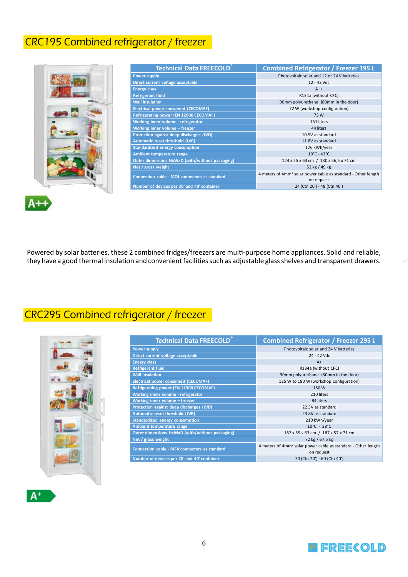### CRC195 Combined refrigerator / freezer

| <b>Technical Data FREECOLD®</b>                      | <b>Combined Refrigerator / Freezer 195 L</b>                                            |
|------------------------------------------------------|-----------------------------------------------------------------------------------------|
| <b>Power supply</b>                                  | Photovoltaic solar and 12 or 24 V batteries                                             |
| Direct current voltage acceptable                    | 12 - 42 Vdc                                                                             |
| <b>Energy class</b>                                  | $A++$                                                                                   |
| <b>Refrigerant fluid</b>                             | R134a (without CFC)                                                                     |
| <b>Wall insulation</b>                               | 90mm polyurethane (80mm in the door)                                                    |
| <b>Electrical power consumed (CECOMAF)</b>           | 72 W (workshop configuration)                                                           |
| Refrigerating power (EN 12900 CECOMAF)               | 75 W                                                                                    |
| Working inner volume - refrigerator                  | 151 liters                                                                              |
| Working inner volume - freezer                       | 44 liters                                                                               |
| Protection against deep discharges (LVD)             | 10.5V as standard                                                                       |
| Automatic reset threshold (LVR)                      | 11.8V as standard                                                                       |
| <b>Standardized energy consumption</b>               | 176 kWh/year                                                                            |
| Ambient temperature range                            | $10^{\circ}$ C - 43 $^{\circ}$ C                                                        |
| Outer dimensions HxWxD (with/without packaging)      | 124 x 55 x 63 cm / 130 x 56,5 x 71 cm                                                   |
| Net / gross weight                                   | 52 kg / 49 kg                                                                           |
| <b>Connection cable - MC4 connectors as standard</b> | 4 meters of 4mm <sup>2</sup> solar power cable as standard - Other length<br>on request |
| Number of devices per 20' and 40' container          | 24 (Ctn 20') - 48 (Ctn 40')                                                             |
|                                                      |                                                                                         |

Powered by solar batteries, these 2 combined fridges/freezers are multi-purpose home appliances. Solid and reliable, they have a good thermal insulation and convenient facilities such as adjustable glass shelves and transparent drawers.

## CRC295 Combined refrigerator / freezer



| <b>Technical Data FREECOLD</b>                  | <b>Combined Refrigerator / Freezer 295 L</b>                                            |
|-------------------------------------------------|-----------------------------------------------------------------------------------------|
| <b>Power supply</b>                             | Photovoltaic solar and 24 V batteries                                                   |
| Direct current voltage acceptable               | 24 - 42 Vdc                                                                             |
| <b>Energy class</b>                             | $A+$                                                                                    |
| <b>Refrigerant fluid</b>                        | R134a (without CFC)                                                                     |
| <b>Wall insulation</b>                          | 90mm polyurethane (80mm in the door)                                                    |
| <b>Electrical power consumed (CECOMAF)</b>      | 125 W to 180 W (workshop configuration)                                                 |
| Refrigerating power (EN 12900 CECOMAF)          | 180W                                                                                    |
| Working inner volume - refrigerator             | 210 liters                                                                              |
| Working inner volume - freezer                  | 84 liters                                                                               |
| Protection against deep discharges (LVD)        | 22.5V as standard                                                                       |
| Automatic reset threshold (LVR)                 | 23.8V as standard                                                                       |
| <b>Standardized energy consumption</b>          | 210 kWh/year                                                                            |
| Ambient temperature range                       | $10^{\circ}$ C - 38 $^{\circ}$ C                                                        |
| Outer dimensions HxWxD (with/without packaging) | 182 x 55 x 63 cm / 187 x 57 x 71 cm                                                     |
| Net / gross weight                              | 72 kg / 67.5 kg                                                                         |
| Connection cable - MC4 connectors as standard   | 4 meters of 4mm <sup>2</sup> solar power cable as standard - Other length<br>on request |
| Number of devices per 20' and 40' container     | 30 (Ctn 20') - 60 (Ctn 40')                                                             |

#### $A^+$

 $A++$ 

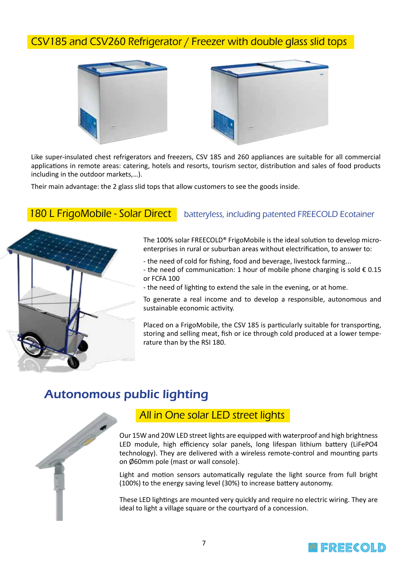### CSV185 and CSV260 Refrigerator / Freezer with double glass slid tops



Like super-insulated chest refrigerators and freezers, CSV 185 and 260 appliances are suitable for all commercial applications in remote areas: catering, hotels and resorts, tourism sector, distribution and sales of food products including in the outdoor markets,…).

Their main advantage: the 2 glass slid tops that allow customers to see the goods inside.

#### 180 L FrigoMobile - Solar Direct | batteryless, including patented FREECOLD Ecotainer



The 100% solar FREECOLD® FrigoMobile is the ideal solution to develop microenterprises in rural or suburban areas without electrification, to answer to:

- the need of cold for fishing, food and beverage, livestock farming...

- the need of communication: 1 hour of mobile phone charging is sold  $\epsilon$  0.15 or FCFA 100

- the need of lighting to extend the sale in the evening, or at home.

To generate a real income and to develop a responsible, autonomous and sustainable economic activity.

Placed on a FrigoMobile, the CSV 185 is particularly suitable for transporting, storing and selling meat, fish or ice through cold produced at a lower temperature than by the RSI 180.

### Autonomous public lighting



#### All in One solar LED street lights

Our 15W and 20W LED street lights are equipped with waterproof and high brightness LED module, high efficiency solar panels, long lifespan lithium battery (LiFePO4 technology). They are delivered with a wireless remote-control and mounting parts on Ø60mm pole (mast or wall console).

Light and motion sensors automatically regulate the light source from full bright (100%) to the energy saving level (30%) to increase battery autonomy.

These LED lightings are mounted very quickly and require no electric wiring. They are ideal to light a village square or the courtyard of a concession.

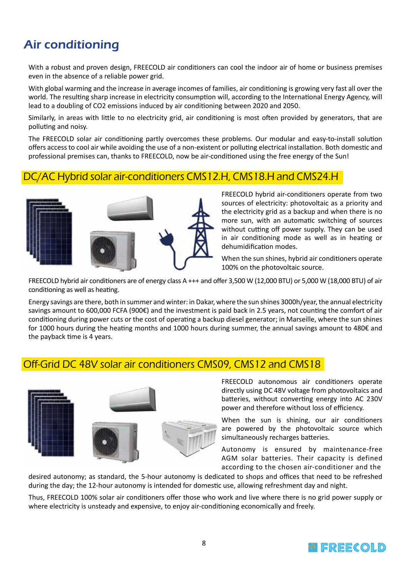## Air conditioning

With a robust and proven design, FREECOLD air conditioners can cool the indoor air of home or business premises even in the absence of a reliable power grid.

With global warming and the increase in average incomes of families, air conditioning is growing very fast all over the world. The resulting sharp increase in electricity consumption will, according to the International Energy Agency, will lead to a doubling of CO2 emissions induced by air conditioning between 2020 and 2050.

Similarly, in areas with little to no electricity grid, air conditioning is most often provided by generators, that are polluting and noisy.

The FREECOLD solar air conditioning partly overcomes these problems. Our modular and easy-to-install solution offers access to cool air while avoiding the use of a non-existent or polluting electrical installation. Both domestic and professional premises can, thanks to FREECOLD, now be air-conditioned using the free energy of the Sun!

#### DC/AC Hybrid solar air-conditioners CMS12.H, CMS18.H and CMS24.H



FREECOLD hybrid air-conditioners operate from two sources of electricity: photovoltaic as a priority and the electricity grid as a backup and when there is no more sun, with an automatic switching of sources without cutting off power supply. They can be used in air conditioning mode as well as in heating or dehumidification modes.

When the sun shines, hybrid air conditioners operate 100% on the photovoltaic source.

FREECOLD hybrid air conditioners are of energy class A +++ and offer 3,500 W (12,000 BTU) or 5,000 W (18,000 BTU) of air conditioning as well as heating.

Energy savings are there, both in summer and winter: in Dakar, where the sun shines 3000h/year, the annual electricity savings amount to 600,000 FCFA (900€) and the investment is paid back in 2.5 years, not counting the comfort of air conditioning during power cuts or the cost of operating a backup diesel generator; in Marseille, where the sun shines for 1000 hours during the heating months and 1000 hours during summer, the annual savings amount to 480€ and the payback time is 4 years.

#### Off-Grid DC 48V solar air conditioners CMS09, CMS12 and CMS18



FREECOLD autonomous air conditioners operate directly using DC 48V voltage from photovoltaics and batteries, without converting energy into AC 230V power and therefore without loss of efficiency.

When the sun is shining, our air conditioners are powered by the photovoltaic source which simultaneously recharges batteries.

Autonomy is ensured by maintenance-free AGM solar batteries. Their capacity is defined according to the chosen air-conditioner and the

desired autonomy; as standard, the 5-hour autonomy is dedicated to shops and offices that need to be refreshed during the day; the 12-hour autonomy is intended for domestic use, allowing refreshment day and night.

Thus, FREECOLD 100% solar air conditioners offer those who work and live where there is no grid power supply or where electricity is unsteady and expensive, to enjoy air-conditioning economically and freely.

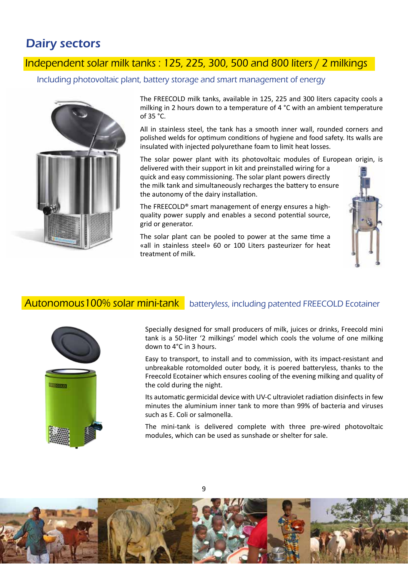### Dairy sectors

### Independent solar milk tanks : 125, 225, 300, 500 and 800 liters / 2 milkings

Including photovoltaic plant, battery storage and smart management of energy



The FREECOLD milk tanks, available in 125, 225 and 300 liters capacity cools a milking in 2 hours down to a temperature of 4 °C with an ambient temperature of 35 °C.

All in stainless steel, the tank has a smooth inner wall, rounded corners and polished welds for optimum conditions of hygiene and food safety. Its walls are insulated with injected polyurethane foam to limit heat losses.

The solar power plant with its photovoltaic modules of European origin, is

delivered with their support in kit and preinstalled wiring for a quick and easy commissioning. The solar plant powers directly the milk tank and simultaneously recharges the battery to ensure the autonomy of the dairy installation.

The FREECOLD® smart management of energy ensures a highquality power supply and enables a second potential source, grid or generator.

The solar plant can be pooled to power at the same time a «all in stainless steel» 60 or 100 Liters pasteurizer for heat treatment of milk.



#### **Autonomous 100% solar mini-tank** batteryless, including patented FREECOLD Ecotainer



Specially designed for small producers of milk, juices or drinks, Freecold mini tank is a 50-liter '2 milkings' model which cools the volume of one milking down to 4°C in 3 hours.

Easy to transport, to install and to commission, with its impact-resistant and unbreakable rotomolded outer body, it is poered batteryless, thanks to the Freecold Ecotainer which ensures cooling of the evening milking and quality of the cold during the night.

Its automatic germicidal device with UV-C ultraviolet radiation disinfects in few minutes the aluminium inner tank to more than 99% of bacteria and viruses such as E. Coli or salmonella.

The mini-tank is delivered complete with three pre-wired photovoltaic modules, which can be used as sunshade or shelter for sale.



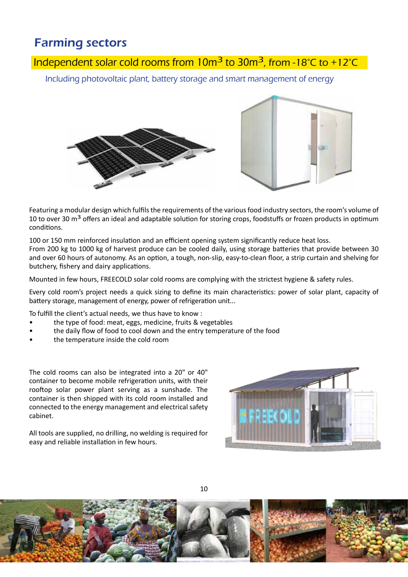### Farming sectors

### Independent solar cold rooms from  $10m^3$  to  $30m^3$ , from -18°C to +12°C

Including photovoltaic plant, battery storage and smart management of energy





Featuring a modular design which fulfils the requirements of the various food industry sectors, the room's volume of 10 to over 30 m<sup>3</sup> offers an ideal and adaptable solution for storing crops, foodstuffs or frozen products in optimum conditions.

100 or 150 mm reinforced insulation and an efficient opening system significantly reduce heat loss. From 200 kg to 1000 kg of harvest produce can be cooled daily, using storage batteries that provide between 30 and over 60 hours of autonomy. As an option, a tough, non-slip, easy-to-clean floor, a strip curtain and shelving for butchery, fishery and dairy applications.

Mounted in few hours, FREECOLD solar cold rooms are complying with the strictest hygiene & safety rules.

Every cold room's project needs a quick sizing to define its main characteristics: power of solar plant, capacity of battery storage, management of energy, power of refrigeration unit...

To fulfill the client's actual needs, we thus have to know :

- the type of food: meat, eggs, medicine, fruits & vegetables
- the daily flow of food to cool down and the entry temperature of the food
- the temperature inside the cold room

The cold rooms can also be integrated into a 20" or 40" container to become mobile refrigeration units, with their rooftop solar power plant serving as a sunshade. The container is then shipped with its cold room installed and connected to the energy management and electrical safety cabinet.

All tools are supplied, no drilling, no welding is required for easy and reliable installation in few hours.





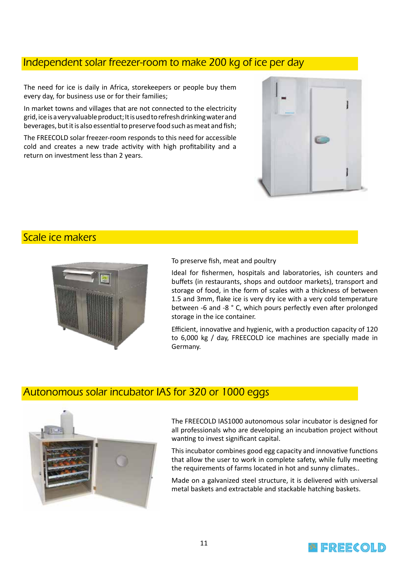#### Independent solar freezer-room to make 200 kg of ice per day

The need for ice is daily in Africa, storekeepers or people buy them every day, for business use or for their families;

In market towns and villages that are not connected to the electricity grid, ice is a very valuable product; It is used to refresh drinking water and beverages, but it is also essential to preserve food such as meat and fish;

The FREECOLD solar freezer-room responds to this need for accessible cold and creates a new trade activity with high profitability and a return on investment less than 2 years.



#### Scale ice makers



To preserve fish, meat and poultry

Ideal for fishermen, hospitals and laboratories, ish counters and buffets (in restaurants, shops and outdoor markets), transport and storage of food, in the form of scales with a thickness of between 1.5 and 3mm, flake ice is very dry ice with a very cold temperature between -6 and -8 ° C, which pours perfectly even after prolonged storage in the ice container.

Efficient, innovative and hygienic, with a production capacity of 120 to 6,000 kg / day, FREECOLD ice machines are specially made in Germany.

### Autonomous solar incubator IAS for 320 or 1000 eggs



The FREECOLD IAS1000 autonomous solar incubator is designed for all professionals who are developing an incubation project without wanting to invest significant capital.

This incubator combines good egg capacity and innovative functions that allow the user to work in complete safety, while fully meeting the requirements of farms located in hot and sunny climates..

Made on a galvanized steel structure, it is delivered with universal metal baskets and extractable and stackable hatching baskets.